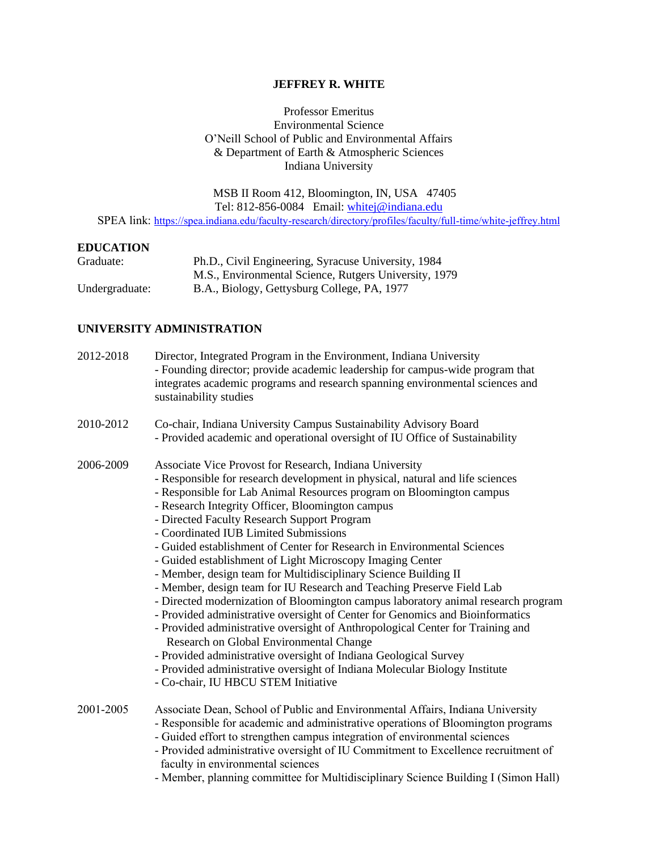# **JEFFREY R. WHITE**

Professor Emeritus Environmental Science O'Neill School of Public and Environmental Affairs & Department of Earth & Atmospheric Sciences Indiana University

 MSB II Room 412, Bloomington, IN, USA 47405 Tel: 812-856-0084 Email: [whitej@indiana.edu](mailto:whitej@indiana.edu) SPEA link: <https://spea.indiana.edu/faculty-research/directory/profiles/faculty/full-time/white-jeffrey.html>

#### **EDUCATION**

| Graduate:      | Ph.D., Civil Engineering, Syracuse University, 1984   |
|----------------|-------------------------------------------------------|
|                | M.S., Environmental Science, Rutgers University, 1979 |
| Undergraduate: | B.A., Biology, Gettysburg College, PA, 1977           |

# **UNIVERSITY ADMINISTRATION**

| 2012-2018 | Director, Integrated Program in the Environment, Indiana University<br>- Founding director; provide academic leadership for campus-wide program that<br>integrates academic programs and research spanning environmental sciences and<br>sustainability studies                                                                                                                                                                                                                                                                                                                                                                                                                                                                                                                                                                                                                                                                                                                                                                                                                                                                              |
|-----------|----------------------------------------------------------------------------------------------------------------------------------------------------------------------------------------------------------------------------------------------------------------------------------------------------------------------------------------------------------------------------------------------------------------------------------------------------------------------------------------------------------------------------------------------------------------------------------------------------------------------------------------------------------------------------------------------------------------------------------------------------------------------------------------------------------------------------------------------------------------------------------------------------------------------------------------------------------------------------------------------------------------------------------------------------------------------------------------------------------------------------------------------|
| 2010-2012 | Co-chair, Indiana University Campus Sustainability Advisory Board<br>- Provided academic and operational oversight of IU Office of Sustainability                                                                                                                                                                                                                                                                                                                                                                                                                                                                                                                                                                                                                                                                                                                                                                                                                                                                                                                                                                                            |
| 2006-2009 | Associate Vice Provost for Research, Indiana University<br>- Responsible for research development in physical, natural and life sciences<br>- Responsible for Lab Animal Resources program on Bloomington campus<br>- Research Integrity Officer, Bloomington campus<br>- Directed Faculty Research Support Program<br>- Coordinated IUB Limited Submissions<br>- Guided establishment of Center for Research in Environmental Sciences<br>- Guided establishment of Light Microscopy Imaging Center<br>- Member, design team for Multidisciplinary Science Building II<br>- Member, design team for IU Research and Teaching Preserve Field Lab<br>- Directed modernization of Bloomington campus laboratory animal research program<br>- Provided administrative oversight of Center for Genomics and Bioinformatics<br>- Provided administrative oversight of Anthropological Center for Training and<br>Research on Global Environmental Change<br>- Provided administrative oversight of Indiana Geological Survey<br>- Provided administrative oversight of Indiana Molecular Biology Institute<br>- Co-chair, IU HBCU STEM Initiative |
| 2001-2005 | Associate Dean, School of Public and Environmental Affairs, Indiana University<br>- Responsible for academic and administrative operations of Bloomington programs<br>- Guided effort to strengthen campus integration of environmental sciences<br>- Provided administrative oversight of IU Commitment to Excellence recruitment of<br>faculty in environmental sciences<br>- Member, planning committee for Multidisciplinary Science Building I (Simon Hall)                                                                                                                                                                                                                                                                                                                                                                                                                                                                                                                                                                                                                                                                             |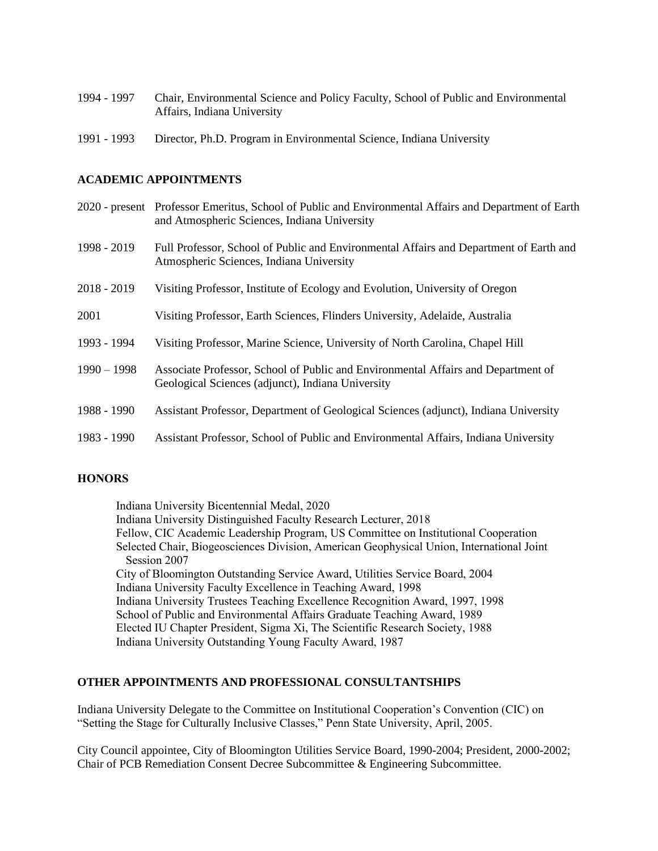- 1994 1997 Chair, Environmental Science and Policy Faculty, School of Public and Environmental Affairs, Indiana University
- 1991 1993 Director, Ph.D. Program in Environmental Science, Indiana University

### **ACADEMIC APPOINTMENTS**

- 2020 present Professor Emeritus, School of Public and Environmental Affairs and Department of Earth and Atmospheric Sciences, Indiana University
- 1998 2019 Full Professor, School of Public and Environmental Affairs and Department of Earth and Atmospheric Sciences, Indiana University
- 2018 2019 Visiting Professor, Institute of Ecology and Evolution, University of Oregon
- 2001 Visiting Professor, Earth Sciences, Flinders University, Adelaide, Australia
- 1993 1994 Visiting Professor, Marine Science, University of North Carolina, Chapel Hill
- 1990 1998 Associate Professor, School of Public and Environmental Affairs and Department of Geological Sciences (adjunct), Indiana University
- 1988 1990 Assistant Professor, Department of Geological Sciences (adjunct), Indiana University
- 1983 1990 Assistant Professor, School of Public and Environmental Affairs, Indiana University

### **HONORS**

Indiana University Bicentennial Medal, 2020 Indiana University Distinguished Faculty Research Lecturer, 2018 Fellow, CIC Academic Leadership Program, US Committee on Institutional Cooperation Selected Chair, Biogeosciences Division, American Geophysical Union, International Joint Session 2007 City of Bloomington Outstanding Service Award, Utilities Service Board, 2004 Indiana University Faculty Excellence in Teaching Award, 1998 Indiana University Trustees Teaching Excellence Recognition Award, 1997, 1998 School of Public and Environmental Affairs Graduate Teaching Award, 1989 Elected IU Chapter President, Sigma Xi, The Scientific Research Society, 1988 Indiana University Outstanding Young Faculty Award, 1987

# **OTHER APPOINTMENTS AND PROFESSIONAL CONSULTANTSHIPS**

Indiana University Delegate to the Committee on Institutional Cooperation's Convention (CIC) on "Setting the Stage for Culturally Inclusive Classes," Penn State University, April, 2005.

City Council appointee, City of Bloomington Utilities Service Board, 1990-2004; President, 2000-2002; Chair of PCB Remediation Consent Decree Subcommittee & Engineering Subcommittee.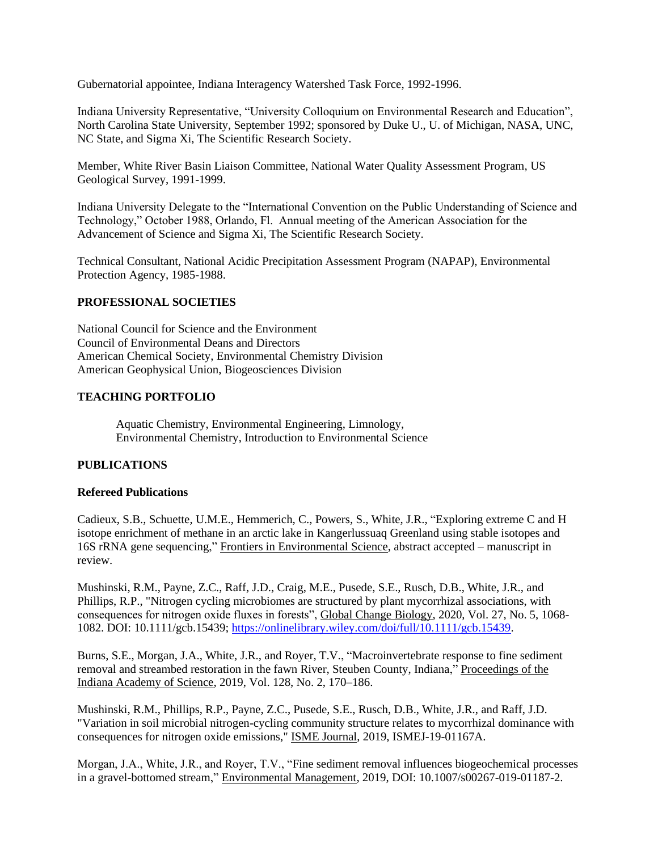Gubernatorial appointee, Indiana Interagency Watershed Task Force, 1992-1996.

Indiana University Representative, "University Colloquium on Environmental Research and Education", North Carolina State University, September 1992; sponsored by Duke U., U. of Michigan, NASA, UNC, NC State, and Sigma Xi, The Scientific Research Society.

Member, White River Basin Liaison Committee, National Water Quality Assessment Program, US Geological Survey, 1991-1999.

Indiana University Delegate to the "International Convention on the Public Understanding of Science and Technology," October 1988, Orlando, Fl. Annual meeting of the American Association for the Advancement of Science and Sigma Xi, The Scientific Research Society.

Technical Consultant, National Acidic Precipitation Assessment Program (NAPAP), Environmental Protection Agency, 1985-1988.

# **PROFESSIONAL SOCIETIES**

National Council for Science and the Environment Council of Environmental Deans and Directors American Chemical Society, Environmental Chemistry Division American Geophysical Union, Biogeosciences Division

# **TEACHING PORTFOLIO**

Aquatic Chemistry, Environmental Engineering, Limnology, Environmental Chemistry, Introduction to Environmental Science

# **PUBLICATIONS**

#### **Refereed Publications**

Cadieux, S.B., Schuette, U.M.E., Hemmerich, C., Powers, S., White, J.R., "Exploring extreme C and H isotope enrichment of methane in an arctic lake in Kangerlussuaq Greenland using stable isotopes and 16S rRNA gene sequencing," Frontiers in Environmental Science, abstract accepted – manuscript in review.

Mushinski, R.M., Payne, Z.C., Raff, J.D., Craig, M.E., Pusede, S.E., Rusch, D.B., White, J.R., and Phillips, R.P., "Nitrogen cycling microbiomes are structured by plant mycorrhizal associations, with consequences for nitrogen oxide fluxes in forests", Global Change Biology, 2020, Vol. 27, No. 5, 1068- 1082. DOI: 10.1111/gcb.15439; [https://onlinelibrary.wiley.com/doi/full/10.1111/gcb.15439.](https://onlinelibrary.wiley.com/doi/full/10.1111/gcb.15439)

Burns, S.E., Morgan, J.A., White, J.R., and Royer, T.V., "Macroinvertebrate response to fine sediment removal and streambed restoration in the fawn River, Steuben County, Indiana," Proceedings of the Indiana Academy of Science, 2019, Vol. 128, No. 2, 170–186.

Mushinski, R.M., Phillips, R.P., Payne, Z.C., Pusede, S.E., Rusch, D.B., White, J.R., and Raff, J.D. "Variation in soil microbial nitrogen-cycling community structure relates to mycorrhizal dominance with consequences for nitrogen oxide emissions," ISME Journal, 2019, ISMEJ-19-01167A.

Morgan, J.A., White, J.R., and Royer, T.V., "Fine sediment removal influences biogeochemical processes in a gravel-bottomed stream," Environmental Management, 2019, DOI: 10.1007/s00267-019-01187-2.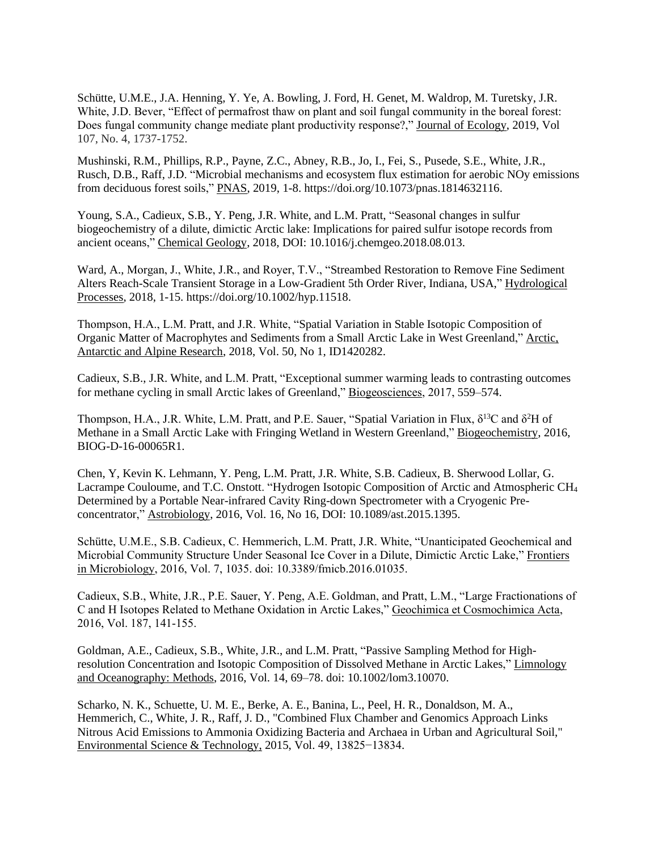Schütte, U.M.E., J.A. Henning, Y. Ye, A. Bowling, J. Ford, H. Genet, M. Waldrop, M. Turetsky, J.R. White, J.D. Bever, "Effect of permafrost thaw on plant and soil fungal community in the boreal forest: Does fungal community change mediate plant productivity response?," Journal of Ecology, 2019, Vol 107, No. 4, 1737-1752.

Mushinski, R.M., Phillips, R.P., Payne, Z.C., Abney, R.B., Jo, I., Fei, S., Pusede, S.E., White, J.R., Rusch, D.B., Raff, J.D. "Microbial mechanisms and ecosystem flux estimation for aerobic NOy emissions from deciduous forest soils," PNAS, 2019, 1-8. https://doi.org/10.1073/pnas.1814632116.

Young, S.A., Cadieux, S.B., Y. Peng, J.R. White, and L.M. Pratt, "Seasonal changes in sulfur biogeochemistry of a dilute, dimictic Arctic lake: Implications for paired sulfur isotope records from ancient oceans," Chemical Geology, 2018, DOI: 10.1016/j.chemgeo.2018.08.013.

Ward, A., Morgan, J., White, J.R., and Royer, T.V., "Streambed Restoration to Remove Fine Sediment Alters Reach-Scale Transient Storage in a Low-Gradient 5th Order River, Indiana, USA," Hydrological Processes, 2018, 1-15. https://doi.org/10.1002/hyp.11518.

Thompson, H.A., L.M. Pratt, and J.R. White, "Spatial Variation in Stable Isotopic Composition of Organic Matter of Macrophytes and Sediments from a Small Arctic Lake in West Greenland," Arctic, Antarctic and Alpine Research, 2018, Vol. 50, No 1, ID1420282.

Cadieux, S.B., J.R. White, and L.M. Pratt, "Exceptional summer warming leads to contrasting outcomes for methane cycling in small Arctic lakes of Greenland," Biogeosciences, 2017, 559–574.

Thompson, H.A., J.R. White, L.M. Pratt, and P.E. Sauer, "Spatial Variation in Flux,  $\delta^{13}C$  and  $\delta^2H$  of Methane in a Small Arctic Lake with Fringing Wetland in Western Greenland," Biogeochemistry, 2016, BIOG-D-16-00065R1.

Chen, Y, Kevin K. Lehmann, Y. Peng, L.M. Pratt, J.R. White, S.B. Cadieux, B. Sherwood Lollar, G. Lacrampe Couloume, and T.C. Onstott. "Hydrogen Isotopic Composition of Arctic and Atmospheric CH<sup>4</sup> Determined by a Portable Near-infrared Cavity Ring-down Spectrometer with a Cryogenic Preconcentrator," Astrobiology, 2016, Vol. 16, No 16, DOI: 10.1089/ast.2015.1395.

Schütte, U.M.E., S.B. Cadieux, C. Hemmerich, L.M. Pratt, J.R. White, "Unanticipated Geochemical and Microbial Community Structure Under Seasonal Ice Cover in a Dilute, Dimictic Arctic Lake," Frontiers in Microbiology, 2016, Vol. 7, 1035. doi: 10.3389/fmicb.2016.01035.

Cadieux, S.B., White, J.R., P.E. Sauer, Y. Peng, A.E. Goldman, and Pratt, L.M., "Large Fractionations of C and H Isotopes Related to Methane Oxidation in Arctic Lakes," Geochimica et Cosmochimica Acta, 2016, Vol. 187, 141-155.

Goldman, A.E., Cadieux, S.B., White, J.R., and L.M. Pratt, "Passive Sampling Method for Highresolution Concentration and Isotopic Composition of Dissolved Methane in Arctic Lakes," Limnology and Oceanography: Methods, 2016, Vol. 14, 69–78. doi: 10.1002/lom3.10070.

Scharko, N. K., Schuette, U. M. E., Berke, A. E., Banina, L., Peel, H. R., Donaldson, M. A., Hemmerich, C., White, J. R., Raff, J. D., "Combined Flux Chamber and Genomics Approach Links Nitrous Acid Emissions to Ammonia Oxidizing Bacteria and Archaea in Urban and Agricultural Soil," Environmental Science & Technology, 2015, Vol. 49, 13825−13834.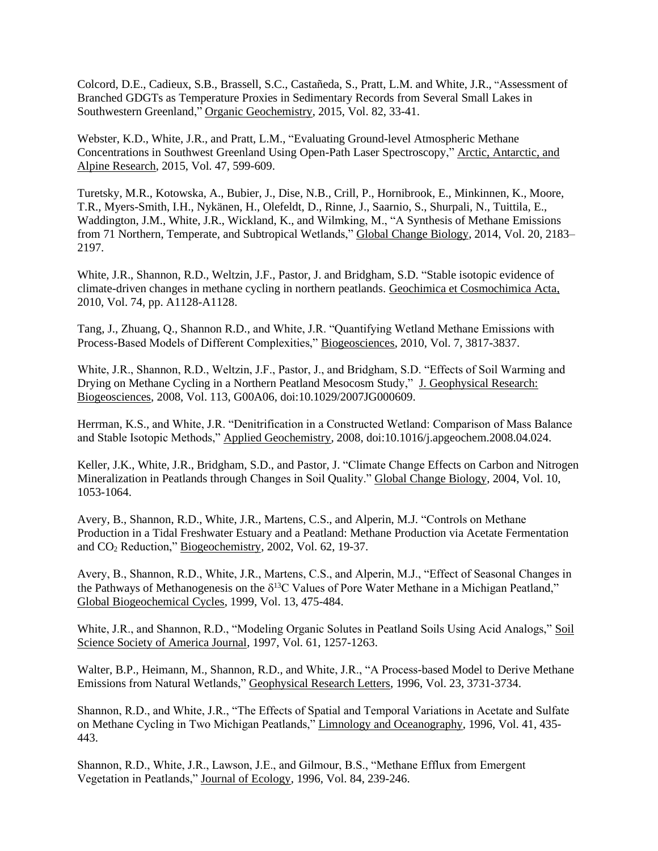Colcord, D.E., Cadieux, S.B., Brassell, S.C., Castañeda, S., Pratt, L.M. and White, J.R., "Assessment of Branched GDGTs as Temperature Proxies in Sedimentary Records from Several Small Lakes in Southwestern Greenland," Organic Geochemistry, 2015, Vol. 82, 33-41.

Webster, K.D., White, J.R., and Pratt, L.M., "Evaluating Ground-level Atmospheric Methane Concentrations in Southwest Greenland Using Open-Path Laser Spectroscopy," Arctic, Antarctic, and Alpine Research, 2015, Vol. 47, 599-609.

Turetsky, M.R., Kotowska, A., Bubier, J., Dise, N.B., Crill, P., Hornibrook, E., Minkinnen, K., Moore, T.R., Myers-Smith, I.H., Nykänen, H., Olefeldt, D., Rinne, J., Saarnio, S., Shurpali, N., Tuittila, E., Waddington, J.M., White, J.R., Wickland, K., and Wilmking, M., "A Synthesis of Methane Emissions from 71 Northern, Temperate, and Subtropical Wetlands," Global Change Biology, 2014, Vol. 20, 2183– 2197.

White, J.R., Shannon, R.D., Weltzin, J.F., Pastor, J. and Bridgham, S.D. "Stable isotopic evidence of climate-driven changes in methane cycling in northern peatlands. Geochimica et Cosmochimica Acta, 2010, Vol. 74, pp. A1128-A1128.

Tang, J., Zhuang, Q., Shannon R.D., and White, J.R. "Quantifying Wetland Methane Emissions with Process-Based Models of Different Complexities," Biogeosciences, 2010, Vol. 7, 3817-3837.

White, J.R., Shannon, R.D., Weltzin, J.F., Pastor, J., and Bridgham, S.D. "Effects of Soil Warming and Drying on Methane Cycling in a Northern Peatland Mesocosm Study," J. Geophysical Research: Biogeosciences, 2008, Vol. 113, G00A06, doi:10.1029/2007JG000609.

Herrman, K.S., and White, J.R. "Denitrification in a Constructed Wetland: Comparison of Mass Balance and Stable Isotopic Methods," Applied Geochemistry, 2008, doi:10.1016/j.apgeochem.2008.04.024.

Keller, J.K., White, J.R., Bridgham, S.D., and Pastor, J. "Climate Change Effects on Carbon and Nitrogen Mineralization in Peatlands through Changes in Soil Quality." Global Change Biology, 2004, Vol. 10, 1053-1064.

Avery, B., Shannon, R.D., White, J.R., Martens, C.S., and Alperin, M.J. "Controls on Methane Production in a Tidal Freshwater Estuary and a Peatland: Methane Production via Acetate Fermentation and CO<sup>2</sup> Reduction," Biogeochemistry, 2002, Vol. 62, 19-37.

Avery, B., Shannon, R.D., White, J.R., Martens, C.S., and Alperin, M.J., "Effect of Seasonal Changes in the Pathways of Methanogenesis on the  $\delta^{13}$ C Values of Pore Water Methane in a Michigan Peatland," Global Biogeochemical Cycles, 1999, Vol. 13, 475-484.

White, J.R., and Shannon, R.D., "Modeling Organic Solutes in Peatland Soils Using Acid Analogs," Soil Science Society of America Journal, 1997, Vol. 61, 1257-1263.

Walter, B.P., Heimann, M., Shannon, R.D., and White, J.R., "A Process-based Model to Derive Methane Emissions from Natural Wetlands," Geophysical Research Letters, 1996, Vol. 23, 3731-3734.

Shannon, R.D., and White, J.R., "The Effects of Spatial and Temporal Variations in Acetate and Sulfate on Methane Cycling in Two Michigan Peatlands," Limnology and Oceanography, 1996, Vol. 41, 435- 443.

Shannon, R.D., White, J.R., Lawson, J.E., and Gilmour, B.S., "Methane Efflux from Emergent Vegetation in Peatlands," Journal of Ecology, 1996, Vol. 84, 239-246.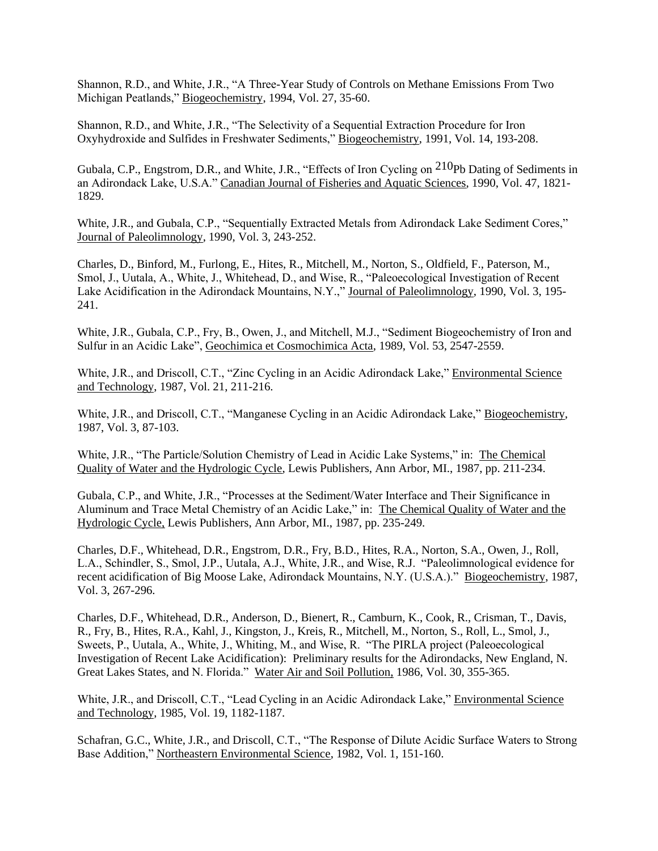Shannon, R.D., and White, J.R., "A Three-Year Study of Controls on Methane Emissions From Two Michigan Peatlands," Biogeochemistry, 1994, Vol. 27, 35-60.

Shannon, R.D., and White, J.R., "The Selectivity of a Sequential Extraction Procedure for Iron Oxyhydroxide and Sulfides in Freshwater Sediments," Biogeochemistry, 1991, Vol. 14, 193-208.

Gubala, C.P., Engstrom, D.R., and White, J.R., "Effects of Iron Cycling on 210Pb Dating of Sediments in an Adirondack Lake, U.S.A." Canadian Journal of Fisheries and Aquatic Sciences, 1990, Vol. 47, 1821- 1829.

White, J.R., and Gubala, C.P., "Sequentially Extracted Metals from Adirondack Lake Sediment Cores," Journal of Paleolimnology, 1990, Vol. 3, 243-252.

Charles, D., Binford, M., Furlong, E., Hites, R., Mitchell, M., Norton, S., Oldfield, F., Paterson, M., Smol, J., Uutala, A., White, J., Whitehead, D., and Wise, R., "Paleoecological Investigation of Recent Lake Acidification in the Adirondack Mountains, N.Y.," Journal of Paleolimnology, 1990, Vol. 3, 195- 241.

White, J.R., Gubala, C.P., Fry, B., Owen, J., and Mitchell, M.J., "Sediment Biogeochemistry of Iron and Sulfur in an Acidic Lake", Geochimica et Cosmochimica Acta, 1989, Vol. 53, 2547-2559.

White, J.R., and Driscoll, C.T., "Zinc Cycling in an Acidic Adirondack Lake," Environmental Science and Technology, 1987, Vol. 21, 211-216.

White, J.R., and Driscoll, C.T., "Manganese Cycling in an Acidic Adirondack Lake," Biogeochemistry, 1987, Vol. 3, 87-103.

White, J.R., "The Particle/Solution Chemistry of Lead in Acidic Lake Systems," in: The Chemical Quality of Water and the Hydrologic Cycle, Lewis Publishers, Ann Arbor, MI., 1987, pp. 211-234.

Gubala, C.P., and White, J.R., "Processes at the Sediment/Water Interface and Their Significance in Aluminum and Trace Metal Chemistry of an Acidic Lake," in: The Chemical Quality of Water and the Hydrologic Cycle, Lewis Publishers, Ann Arbor, MI., 1987, pp. 235-249.

Charles, D.F., Whitehead, D.R., Engstrom, D.R., Fry, B.D., Hites, R.A., Norton, S.A., Owen, J., Roll, L.A., Schindler, S., Smol, J.P., Uutala, A.J., White, J.R., and Wise, R.J. "Paleolimnological evidence for recent acidification of Big Moose Lake, Adirondack Mountains, N.Y. (U.S.A.)." Biogeochemistry, 1987, Vol. 3, 267-296.

Charles, D.F., Whitehead, D.R., Anderson, D., Bienert, R., Camburn, K., Cook, R., Crisman, T., Davis, R., Fry, B., Hites, R.A., Kahl, J., Kingston, J., Kreis, R., Mitchell, M., Norton, S., Roll, L., Smol, J., Sweets, P., Uutala, A., White, J., Whiting, M., and Wise, R. "The PIRLA project (Paleoecological Investigation of Recent Lake Acidification): Preliminary results for the Adirondacks, New England, N. Great Lakes States, and N. Florida." Water Air and Soil Pollution, 1986, Vol. 30, 355-365.

White, J.R., and Driscoll, C.T., "Lead Cycling in an Acidic Adirondack Lake," Environmental Science and Technology, 1985, Vol. 19, 1182-1187.

Schafran, G.C., White, J.R., and Driscoll, C.T., "The Response of Dilute Acidic Surface Waters to Strong Base Addition," Northeastern Environmental Science, 1982, Vol. 1, 151-160.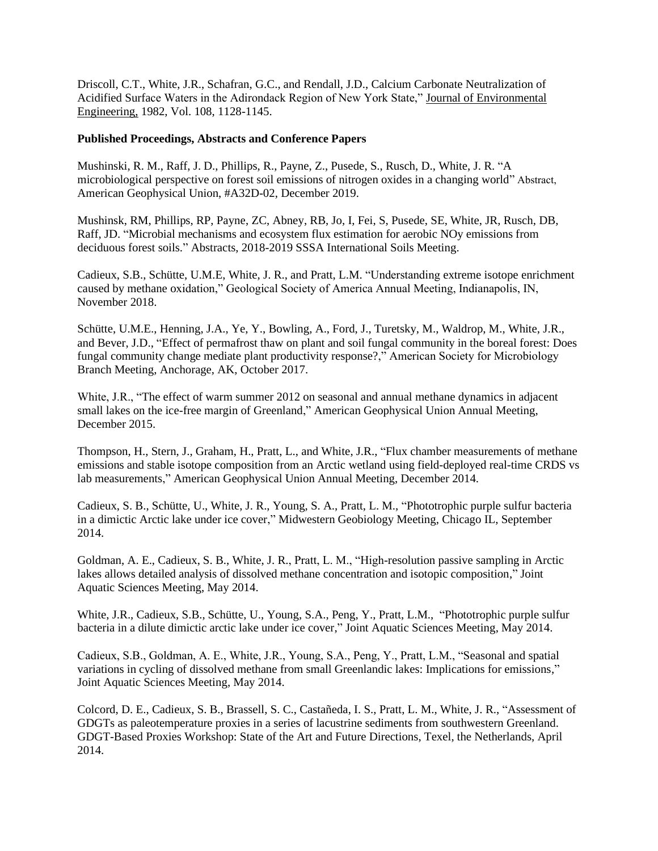Driscoll, C.T., White, J.R., Schafran, G.C., and Rendall, J.D., Calcium Carbonate Neutralization of Acidified Surface Waters in the Adirondack Region of New York State," Journal of Environmental Engineering, 1982, Vol. 108, 1128-1145.

### **Published Proceedings, Abstracts and Conference Papers**

Mushinski, R. M., Raff, J. D., Phillips, R., Payne, Z., Pusede, S., Rusch, D., White, J. R. "A microbiological perspective on forest soil emissions of nitrogen oxides in a changing world" Abstract, American Geophysical Union, #A32D-02, December 2019.

Mushinsk, RM, Phillips, RP, Payne, ZC, Abney, RB, Jo, I, Fei, S, Pusede, SE, White, JR, Rusch, DB, Raff, JD. "Microbial mechanisms and ecosystem flux estimation for aerobic NOy emissions from deciduous forest soils." Abstracts, 2018-2019 SSSA International Soils Meeting.

Cadieux, S.B., Schütte, U.M.E, White, J. R., and Pratt, L.M. "Understanding extreme isotope enrichment caused by methane oxidation," Geological Society of America Annual Meeting, Indianapolis, IN, November 2018.

Schütte, U.M.E., Henning, J.A., Ye, Y., Bowling, A., Ford, J., Turetsky, M., Waldrop, M., White, J.R., and Bever, J.D., "Effect of permafrost thaw on plant and soil fungal community in the boreal forest: Does fungal community change mediate plant productivity response?," American Society for Microbiology Branch Meeting, Anchorage, AK, October 2017.

White, J.R., "The effect of warm summer 2012 on seasonal and annual methane dynamics in adjacent small lakes on the ice-free margin of Greenland," American Geophysical Union Annual Meeting, December 2015.

Thompson, H., Stern, J., Graham, H., Pratt, L., and White, J.R., "Flux chamber measurements of methane emissions and stable isotope composition from an Arctic wetland using field-deployed real-time CRDS vs lab measurements," American Geophysical Union Annual Meeting, December 2014.

Cadieux, S. B., Schütte, U., White, J. R., Young, S. A., Pratt, L. M., "Phototrophic purple sulfur bacteria in a dimictic Arctic lake under ice cover," Midwestern Geobiology Meeting, Chicago IL, September 2014.

Goldman, A. E., Cadieux, S. B., White, J. R., Pratt, L. M., "High-resolution passive sampling in Arctic lakes allows detailed analysis of dissolved methane concentration and isotopic composition," Joint Aquatic Sciences Meeting, May 2014.

White, J.R., Cadieux, S.B., Schütte, U., Young, S.A., Peng, Y., Pratt, L.M., "Phototrophic purple sulfur bacteria in a dilute dimictic arctic lake under ice cover," Joint Aquatic Sciences Meeting, May 2014.

Cadieux, S.B., Goldman, A. E., White, J.R., Young, S.A., Peng, Y., Pratt, L.M., "Seasonal and spatial variations in cycling of dissolved methane from small Greenlandic lakes: Implications for emissions," Joint Aquatic Sciences Meeting, May 2014.

Colcord, D. E., Cadieux, S. B., Brassell, S. C., Castañeda, I. S., Pratt, L. M., White, J. R., "Assessment of GDGTs as paleotemperature proxies in a series of lacustrine sediments from southwestern Greenland. GDGT-Based Proxies Workshop: State of the Art and Future Directions, Texel, the Netherlands, April 2014.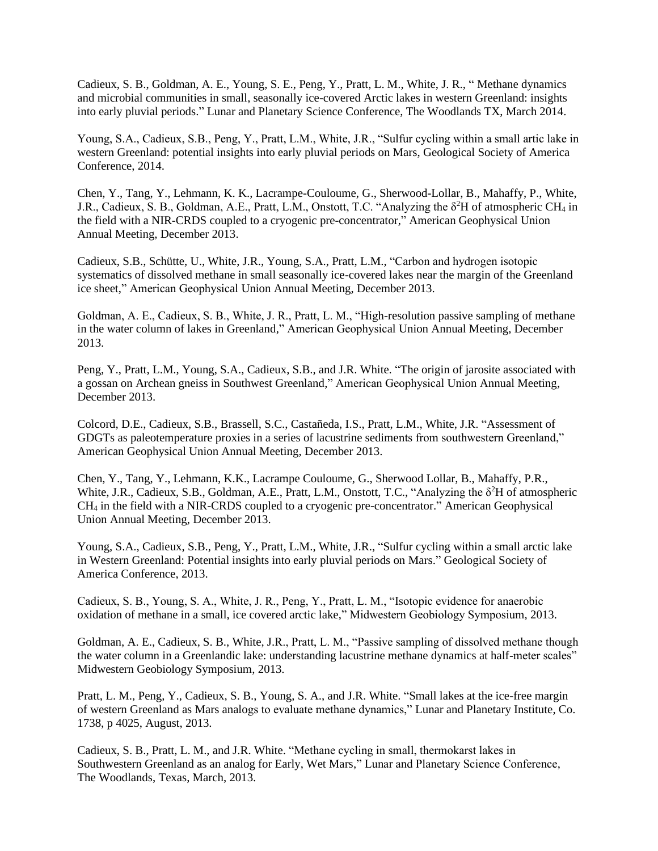Cadieux, S. B., Goldman, A. E., Young, S. E., Peng, Y., Pratt, L. M., White, J. R., " Methane dynamics and microbial communities in small, seasonally ice-covered Arctic lakes in western Greenland: insights into early pluvial periods." Lunar and Planetary Science Conference, The Woodlands TX, March 2014.

Young, S.A., Cadieux, S.B., Peng, Y., Pratt, L.M., White, J.R., "Sulfur cycling within a small artic lake in western Greenland: potential insights into early pluvial periods on Mars, Geological Society of America Conference, 2014.

Chen, Y., Tang, Y., Lehmann, K. K., Lacrampe-Couloume, G., Sherwood-Lollar, B., Mahaffy, P., White, J.R., Cadieux, S. B., Goldman, A.E., Pratt, L.M., Onstott, T.C. "Analyzing the δ<sup>2</sup>H of atmospheric CH<sup>4</sup> in the field with a NIR-CRDS coupled to a cryogenic pre-concentrator," American Geophysical Union Annual Meeting, December 2013.

Cadieux, S.B., Schütte, U., White, J.R., Young, S.A., Pratt, L.M., "Carbon and hydrogen isotopic systematics of dissolved methane in small seasonally ice-covered lakes near the margin of the Greenland ice sheet," American Geophysical Union Annual Meeting, December 2013.

Goldman, A. E., Cadieux, S. B., White, J. R., Pratt, L. M., "High-resolution passive sampling of methane in the water column of lakes in Greenland," American Geophysical Union Annual Meeting, December 2013.

Peng, Y., Pratt, L.M., Young, S.A., Cadieux, S.B., and J.R. White. "The origin of jarosite associated with a gossan on Archean gneiss in Southwest Greenland," American Geophysical Union Annual Meeting, December 2013.

Colcord, D.E., Cadieux, S.B., Brassell, S.C., Castañeda, I.S., Pratt, L.M., White, J.R. "Assessment of GDGTs as paleotemperature proxies in a series of lacustrine sediments from southwestern Greenland," American Geophysical Union Annual Meeting, December 2013.

Chen, Y., Tang, Y., Lehmann, K.K., Lacrampe Couloume, G., Sherwood Lollar, B., Mahaffy, P.R., White, J.R., Cadieux, S.B., Goldman, A.E., Pratt, L.M., Onstott, T.C., "Analyzing the δ<sup>2</sup>H of atmospheric CH<sup>4</sup> in the field with a NIR-CRDS coupled to a cryogenic pre-concentrator." American Geophysical Union Annual Meeting, December 2013.

Young, S.A., Cadieux, S.B., Peng, Y., Pratt, L.M., White, J.R., "Sulfur cycling within a small arctic lake in Western Greenland: Potential insights into early pluvial periods on Mars." Geological Society of America Conference, 2013.

Cadieux, S. B., Young, S. A., White, J. R., Peng, Y., Pratt, L. M., "Isotopic evidence for anaerobic oxidation of methane in a small, ice covered arctic lake," Midwestern Geobiology Symposium, 2013.

Goldman, A. E., Cadieux, S. B., White, J.R., Pratt, L. M., "Passive sampling of dissolved methane though the water column in a Greenlandic lake: understanding lacustrine methane dynamics at half-meter scales" Midwestern Geobiology Symposium, 2013.

Pratt, L. M., Peng, Y., Cadieux, S. B., Young, S. A., and J.R. White. "Small lakes at the ice-free margin of western Greenland as Mars analogs to evaluate methane dynamics," Lunar and Planetary Institute, Co. 1738, p 4025, August, 2013.

Cadieux, S. B., Pratt, L. M., and J.R. White. "Methane cycling in small, thermokarst lakes in Southwestern Greenland as an analog for Early, Wet Mars," Lunar and Planetary Science Conference, The Woodlands, Texas, March, 2013.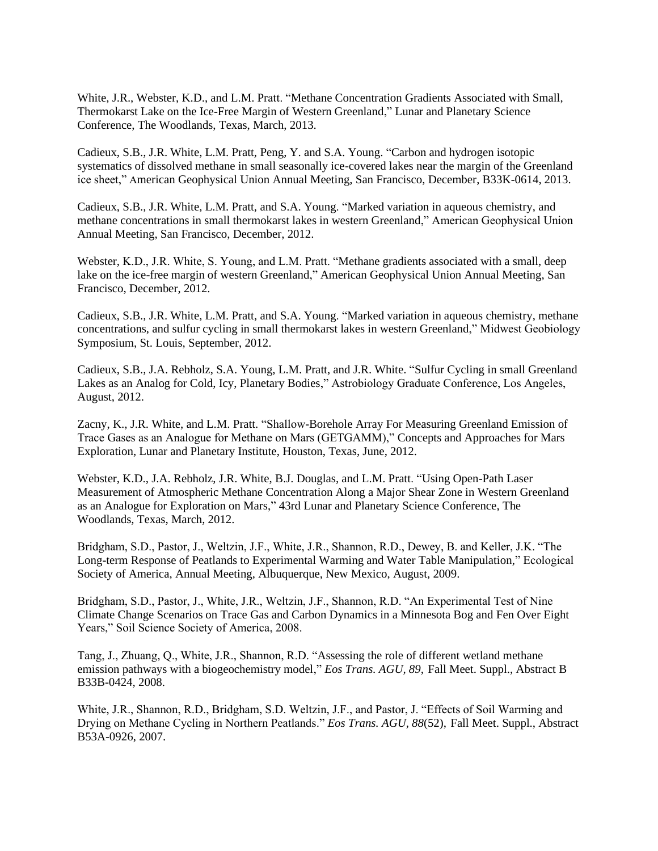White, J.R., Webster, K.D., and L.M. Pratt. "Methane Concentration Gradients Associated with Small, Thermokarst Lake on the Ice-Free Margin of Western Greenland," Lunar and Planetary Science Conference, The Woodlands, Texas, March, 2013.

Cadieux, S.B., J.R. White, L.M. Pratt, Peng, Y. and S.A. Young. "Carbon and hydrogen isotopic systematics of dissolved methane in small seasonally ice-covered lakes near the margin of the Greenland ice sheet," American Geophysical Union Annual Meeting, San Francisco, December, B33K-0614, 2013.

Cadieux, S.B., J.R. White, L.M. Pratt, and S.A. Young. "Marked variation in aqueous chemistry, and methane concentrations in small thermokarst lakes in western Greenland," American Geophysical Union Annual Meeting, San Francisco, December, 2012.

Webster, K.D., J.R. White, S. Young, and L.M. Pratt. "Methane gradients associated with a small, deep lake on the ice-free margin of western Greenland," American Geophysical Union Annual Meeting, San Francisco, December, 2012.

Cadieux, S.B., J.R. White, L.M. Pratt, and S.A. Young. "Marked variation in aqueous chemistry, methane concentrations, and sulfur cycling in small thermokarst lakes in western Greenland," Midwest Geobiology Symposium, St. Louis, September, 2012.

Cadieux, S.B., J.A. Rebholz, S.A. Young, L.M. Pratt, and J.R. White. "Sulfur Cycling in small Greenland Lakes as an Analog for Cold, Icy, Planetary Bodies," Astrobiology Graduate Conference, Los Angeles, August, 2012.

Zacny, K., J.R. White, and L.M. Pratt. "Shallow-Borehole Array For Measuring Greenland Emission of Trace Gases as an Analogue for Methane on Mars (GETGAMM)," Concepts and Approaches for Mars Exploration, Lunar and Planetary Institute, Houston, Texas, June, 2012.

Webster, K.D., J.A. Rebholz, J.R. White, B.J. Douglas, and L.M. Pratt. "Using Open-Path Laser Measurement of Atmospheric Methane Concentration Along a Major Shear Zone in Western Greenland as an Analogue for Exploration on Mars," 43rd Lunar and Planetary Science Conference, The Woodlands, Texas, March, 2012.

Bridgham, S.D., Pastor, J., Weltzin, J.F., White, J.R., Shannon, R.D., Dewey, B. and Keller, J.K. "The Long-term Response of Peatlands to Experimental Warming and Water Table Manipulation," Ecological Society of America, Annual Meeting, Albuquerque, New Mexico, August, 2009.

Bridgham, S.D., Pastor, J., White, J.R., Weltzin, J.F., Shannon, R.D. "An Experimental Test of Nine Climate Change Scenarios on Trace Gas and Carbon Dynamics in a Minnesota Bog and Fen Over Eight Years," Soil Science Society of America, 2008.

Tang, J., Zhuang, Q., White, J.R., Shannon, R.D. "Assessing the role of different wetland methane emission pathways with a biogeochemistry model," *Eos Trans. AGU, 89*, Fall Meet. Suppl., Abstract B B33B-0424, 2008.

White, J.R., Shannon, R.D., Bridgham, S.D. Weltzin, J.F., and Pastor, J. "Effects of Soil Warming and Drying on Methane Cycling in Northern Peatlands." *Eos Trans. AGU, 88*(52), Fall Meet. Suppl., Abstract B53A-0926, 2007.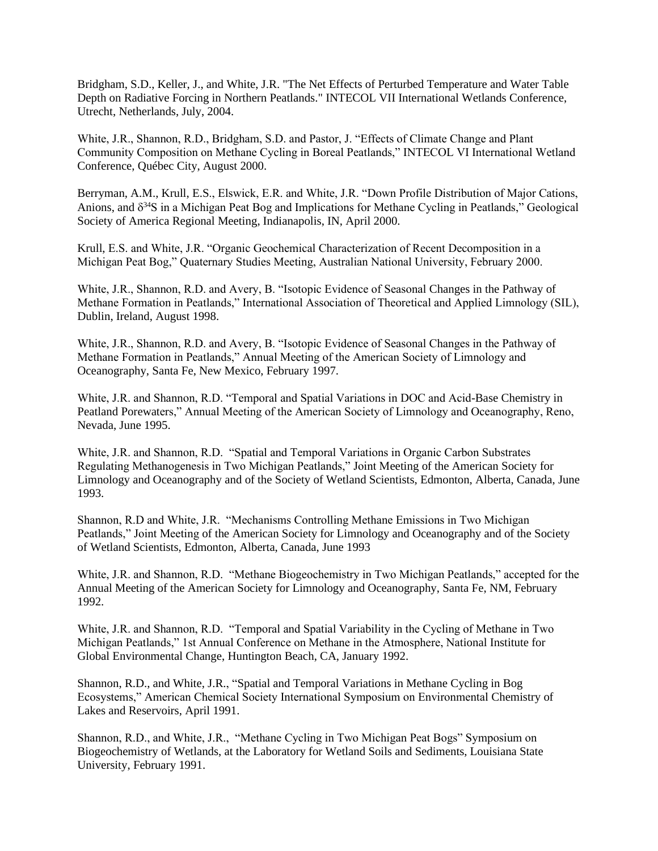Bridgham, S.D., Keller, J., and White, J.R. "The Net Effects of Perturbed Temperature and Water Table Depth on Radiative Forcing in Northern Peatlands." INTECOL VII International Wetlands Conference, Utrecht, Netherlands, July, 2004.

White, J.R., Shannon, R.D., Bridgham, S.D. and Pastor, J. "Effects of Climate Change and Plant Community Composition on Methane Cycling in Boreal Peatlands," INTECOL VI International Wetland Conference, Québec City, August 2000.

Berryman, A.M., Krull, E.S., Elswick, E.R. and White, J.R. "Down Profile Distribution of Major Cations, Anions, and  $\delta^{34}S$  in a Michigan Peat Bog and Implications for Methane Cycling in Peatlands," Geological Society of America Regional Meeting, Indianapolis, IN, April 2000.

Krull, E.S. and White, J.R. "Organic Geochemical Characterization of Recent Decomposition in a Michigan Peat Bog," Quaternary Studies Meeting, Australian National University, February 2000.

White, J.R., Shannon, R.D. and Avery, B. "Isotopic Evidence of Seasonal Changes in the Pathway of Methane Formation in Peatlands," International Association of Theoretical and Applied Limnology (SIL), Dublin, Ireland, August 1998.

White, J.R., Shannon, R.D. and Avery, B. "Isotopic Evidence of Seasonal Changes in the Pathway of Methane Formation in Peatlands," Annual Meeting of the American Society of Limnology and Oceanography, Santa Fe, New Mexico, February 1997.

White, J.R. and Shannon, R.D. "Temporal and Spatial Variations in DOC and Acid-Base Chemistry in Peatland Porewaters," Annual Meeting of the American Society of Limnology and Oceanography, Reno, Nevada, June 1995.

White, J.R. and Shannon, R.D. "Spatial and Temporal Variations in Organic Carbon Substrates Regulating Methanogenesis in Two Michigan Peatlands," Joint Meeting of the American Society for Limnology and Oceanography and of the Society of Wetland Scientists, Edmonton, Alberta, Canada, June 1993.

Shannon, R.D and White, J.R. "Mechanisms Controlling Methane Emissions in Two Michigan Peatlands," Joint Meeting of the American Society for Limnology and Oceanography and of the Society of Wetland Scientists, Edmonton, Alberta, Canada, June 1993

White, J.R. and Shannon, R.D. "Methane Biogeochemistry in Two Michigan Peatlands," accepted for the Annual Meeting of the American Society for Limnology and Oceanography, Santa Fe, NM, February 1992.

White, J.R. and Shannon, R.D. "Temporal and Spatial Variability in the Cycling of Methane in Two Michigan Peatlands," 1st Annual Conference on Methane in the Atmosphere, National Institute for Global Environmental Change, Huntington Beach, CA, January 1992.

Shannon, R.D., and White, J.R., "Spatial and Temporal Variations in Methane Cycling in Bog Ecosystems," American Chemical Society International Symposium on Environmental Chemistry of Lakes and Reservoirs, April 1991.

Shannon, R.D., and White, J.R., "Methane Cycling in Two Michigan Peat Bogs" Symposium on Biogeochemistry of Wetlands, at the Laboratory for Wetland Soils and Sediments, Louisiana State University, February 1991.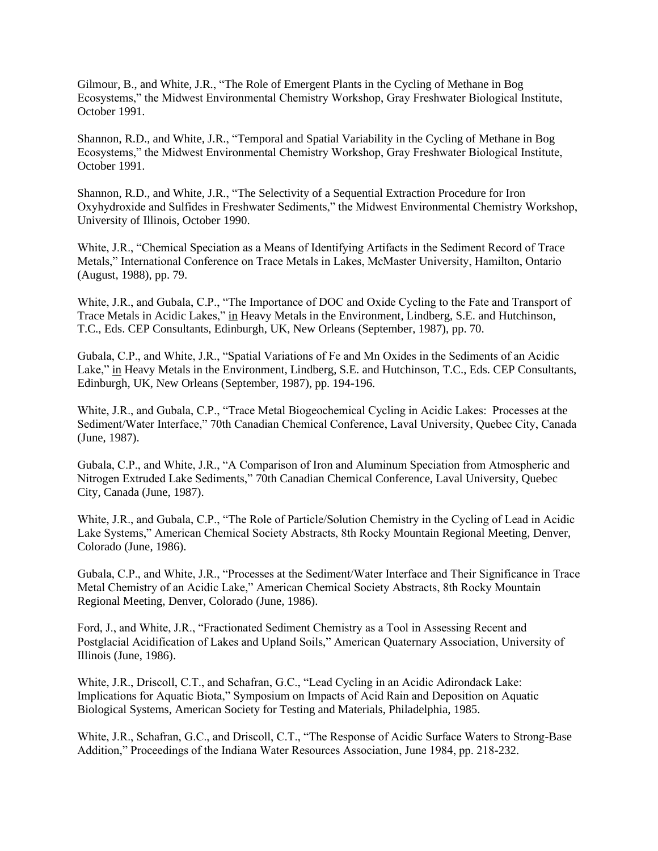Gilmour, B., and White, J.R., "The Role of Emergent Plants in the Cycling of Methane in Bog Ecosystems," the Midwest Environmental Chemistry Workshop, Gray Freshwater Biological Institute, October 1991.

Shannon, R.D., and White, J.R., "Temporal and Spatial Variability in the Cycling of Methane in Bog Ecosystems," the Midwest Environmental Chemistry Workshop, Gray Freshwater Biological Institute, October 1991.

Shannon, R.D., and White, J.R., "The Selectivity of a Sequential Extraction Procedure for Iron Oxyhydroxide and Sulfides in Freshwater Sediments," the Midwest Environmental Chemistry Workshop, University of Illinois, October 1990.

White, J.R., "Chemical Speciation as a Means of Identifying Artifacts in the Sediment Record of Trace Metals," International Conference on Trace Metals in Lakes, McMaster University, Hamilton, Ontario (August, 1988), pp. 79.

White, J.R., and Gubala, C.P., "The Importance of DOC and Oxide Cycling to the Fate and Transport of Trace Metals in Acidic Lakes," in Heavy Metals in the Environment, Lindberg, S.E. and Hutchinson, T.C., Eds. CEP Consultants, Edinburgh, UK, New Orleans (September, 1987), pp. 70.

Gubala, C.P., and White, J.R., "Spatial Variations of Fe and Mn Oxides in the Sediments of an Acidic Lake," in Heavy Metals in the Environment, Lindberg, S.E. and Hutchinson, T.C., Eds. CEP Consultants, Edinburgh, UK, New Orleans (September, 1987), pp. 194-196.

White, J.R., and Gubala, C.P., "Trace Metal Biogeochemical Cycling in Acidic Lakes: Processes at the Sediment/Water Interface," 70th Canadian Chemical Conference, Laval University, Quebec City, Canada (June, 1987).

Gubala, C.P., and White, J.R., "A Comparison of Iron and Aluminum Speciation from Atmospheric and Nitrogen Extruded Lake Sediments," 70th Canadian Chemical Conference, Laval University, Quebec City, Canada (June, 1987).

White, J.R., and Gubala, C.P., "The Role of Particle/Solution Chemistry in the Cycling of Lead in Acidic Lake Systems," American Chemical Society Abstracts, 8th Rocky Mountain Regional Meeting, Denver, Colorado (June, 1986).

Gubala, C.P., and White, J.R., "Processes at the Sediment/Water Interface and Their Significance in Trace Metal Chemistry of an Acidic Lake," American Chemical Society Abstracts, 8th Rocky Mountain Regional Meeting, Denver, Colorado (June, 1986).

Ford, J., and White, J.R., "Fractionated Sediment Chemistry as a Tool in Assessing Recent and Postglacial Acidification of Lakes and Upland Soils," American Quaternary Association, University of Illinois (June, 1986).

White, J.R., Driscoll, C.T., and Schafran, G.C., "Lead Cycling in an Acidic Adirondack Lake: Implications for Aquatic Biota," Symposium on Impacts of Acid Rain and Deposition on Aquatic Biological Systems, American Society for Testing and Materials, Philadelphia, 1985.

White, J.R., Schafran, G.C., and Driscoll, C.T., "The Response of Acidic Surface Waters to Strong-Base Addition," Proceedings of the Indiana Water Resources Association, June 1984, pp. 218-232.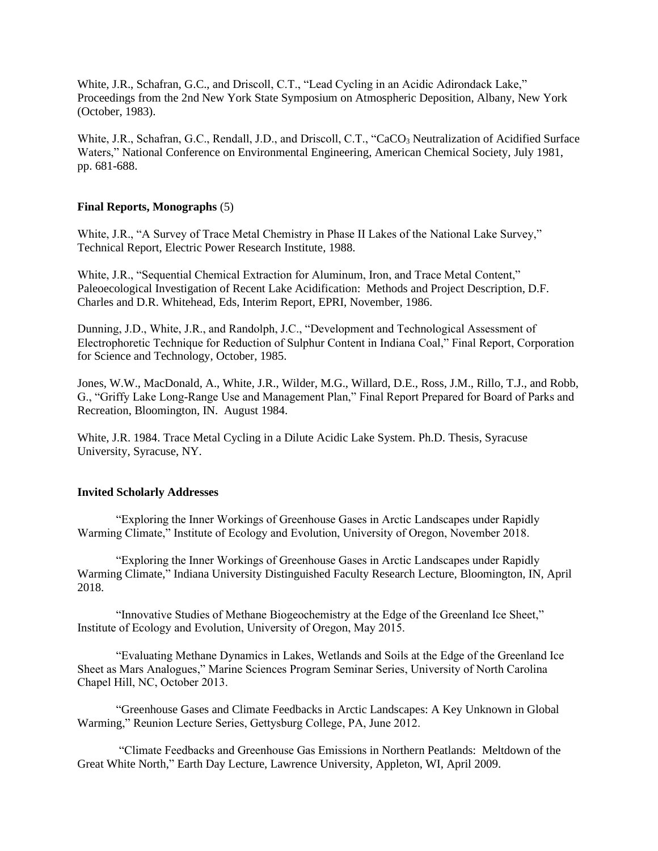White, J.R., Schafran, G.C., and Driscoll, C.T., "Lead Cycling in an Acidic Adirondack Lake," Proceedings from the 2nd New York State Symposium on Atmospheric Deposition, Albany, New York (October, 1983).

White, J.R., Schafran, G.C., Rendall, J.D., and Driscoll, C.T., "CaCO<sub>3</sub> Neutralization of Acidified Surface Waters," National Conference on Environmental Engineering, American Chemical Society, July 1981, pp. 681-688.

### **Final Reports, Monographs** (5)

White, J.R., "A Survey of Trace Metal Chemistry in Phase II Lakes of the National Lake Survey," Technical Report, Electric Power Research Institute, 1988.

White, J.R., "Sequential Chemical Extraction for Aluminum, Iron, and Trace Metal Content," Paleoecological Investigation of Recent Lake Acidification: Methods and Project Description, D.F. Charles and D.R. Whitehead, Eds, Interim Report, EPRI, November, 1986.

Dunning, J.D., White, J.R., and Randolph, J.C., "Development and Technological Assessment of Electrophoretic Technique for Reduction of Sulphur Content in Indiana Coal," Final Report, Corporation for Science and Technology, October, 1985.

Jones, W.W., MacDonald, A., White, J.R., Wilder, M.G., Willard, D.E., Ross, J.M., Rillo, T.J., and Robb, G., "Griffy Lake Long-Range Use and Management Plan," Final Report Prepared for Board of Parks and Recreation, Bloomington, IN. August 1984.

White, J.R. 1984. Trace Metal Cycling in a Dilute Acidic Lake System. Ph.D. Thesis, Syracuse University, Syracuse, NY.

#### **Invited Scholarly Addresses**

"Exploring the Inner Workings of Greenhouse Gases in Arctic Landscapes under Rapidly Warming Climate," Institute of Ecology and Evolution, University of Oregon, November 2018.

"Exploring the Inner Workings of Greenhouse Gases in Arctic Landscapes under Rapidly Warming Climate," Indiana University Distinguished Faculty Research Lecture, Bloomington, IN, April 2018.

"Innovative Studies of Methane Biogeochemistry at the Edge of the Greenland Ice Sheet," Institute of Ecology and Evolution, University of Oregon, May 2015.

"Evaluating Methane Dynamics in Lakes, Wetlands and Soils at the Edge of the Greenland Ice Sheet as Mars Analogues," Marine Sciences Program Seminar Series, University of North Carolina Chapel Hill, NC, October 2013.

"Greenhouse Gases and Climate Feedbacks in Arctic Landscapes: A Key Unknown in Global Warming," Reunion Lecture Series, Gettysburg College, PA, June 2012.

"Climate Feedbacks and Greenhouse Gas Emissions in Northern Peatlands: Meltdown of the Great White North," Earth Day Lecture, Lawrence University, Appleton, WI, April 2009.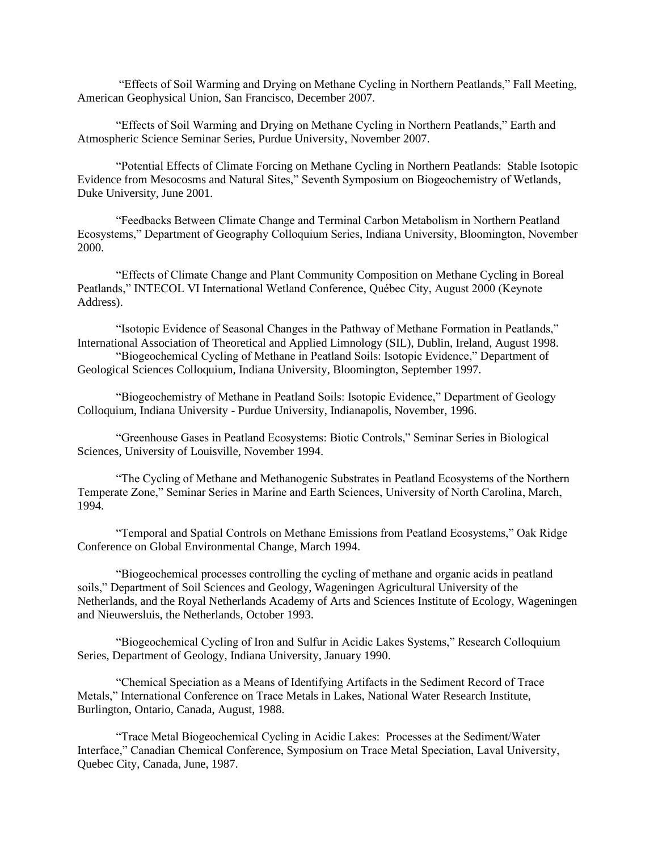"Effects of Soil Warming and Drying on Methane Cycling in Northern Peatlands," Fall Meeting, American Geophysical Union, San Francisco, December 2007.

"Effects of Soil Warming and Drying on Methane Cycling in Northern Peatlands," Earth and Atmospheric Science Seminar Series, Purdue University, November 2007.

"Potential Effects of Climate Forcing on Methane Cycling in Northern Peatlands: Stable Isotopic Evidence from Mesocosms and Natural Sites," Seventh Symposium on Biogeochemistry of Wetlands, Duke University, June 2001.

"Feedbacks Between Climate Change and Terminal Carbon Metabolism in Northern Peatland Ecosystems," Department of Geography Colloquium Series, Indiana University, Bloomington, November 2000.

"Effects of Climate Change and Plant Community Composition on Methane Cycling in Boreal Peatlands," INTECOL VI International Wetland Conference, Québec City, August 2000 (Keynote Address).

"Isotopic Evidence of Seasonal Changes in the Pathway of Methane Formation in Peatlands," International Association of Theoretical and Applied Limnology (SIL), Dublin, Ireland, August 1998. "Biogeochemical Cycling of Methane in Peatland Soils: Isotopic Evidence," Department of

Geological Sciences Colloquium, Indiana University, Bloomington, September 1997.

"Biogeochemistry of Methane in Peatland Soils: Isotopic Evidence," Department of Geology Colloquium, Indiana University - Purdue University, Indianapolis, November, 1996.

"Greenhouse Gases in Peatland Ecosystems: Biotic Controls," Seminar Series in Biological Sciences, University of Louisville, November 1994.

"The Cycling of Methane and Methanogenic Substrates in Peatland Ecosystems of the Northern Temperate Zone," Seminar Series in Marine and Earth Sciences, University of North Carolina, March, 1994.

"Temporal and Spatial Controls on Methane Emissions from Peatland Ecosystems," Oak Ridge Conference on Global Environmental Change, March 1994.

"Biogeochemical processes controlling the cycling of methane and organic acids in peatland soils," Department of Soil Sciences and Geology, Wageningen Agricultural University of the Netherlands, and the Royal Netherlands Academy of Arts and Sciences Institute of Ecology, Wageningen and Nieuwersluis, the Netherlands, October 1993.

"Biogeochemical Cycling of Iron and Sulfur in Acidic Lakes Systems," Research Colloquium Series, Department of Geology, Indiana University, January 1990.

"Chemical Speciation as a Means of Identifying Artifacts in the Sediment Record of Trace Metals," International Conference on Trace Metals in Lakes, National Water Research Institute, Burlington, Ontario, Canada, August, 1988.

"Trace Metal Biogeochemical Cycling in Acidic Lakes: Processes at the Sediment/Water Interface," Canadian Chemical Conference, Symposium on Trace Metal Speciation, Laval University, Quebec City, Canada, June, 1987.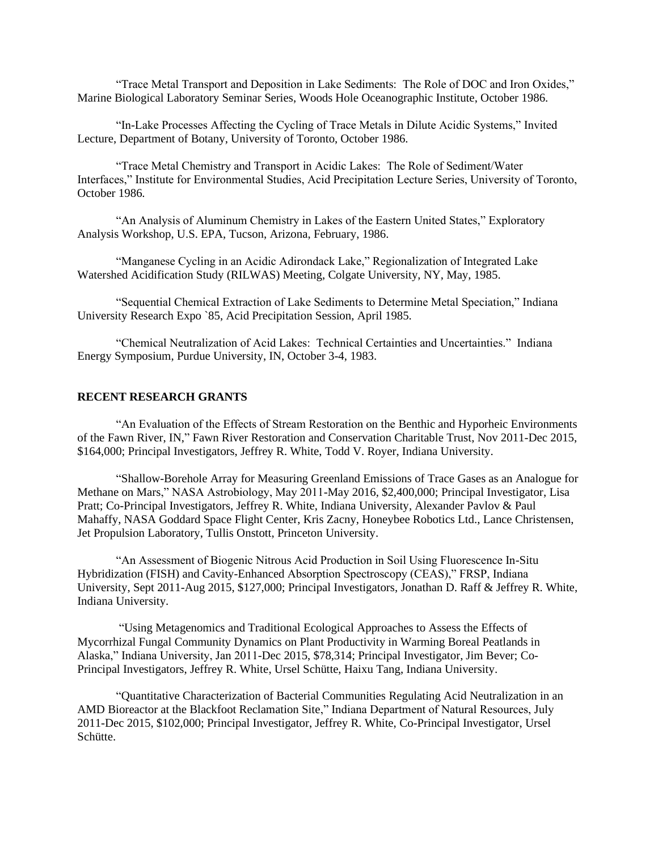"Trace Metal Transport and Deposition in Lake Sediments: The Role of DOC and Iron Oxides," Marine Biological Laboratory Seminar Series, Woods Hole Oceanographic Institute, October 1986.

"In-Lake Processes Affecting the Cycling of Trace Metals in Dilute Acidic Systems," Invited Lecture, Department of Botany, University of Toronto, October 1986.

"Trace Metal Chemistry and Transport in Acidic Lakes: The Role of Sediment/Water Interfaces," Institute for Environmental Studies, Acid Precipitation Lecture Series, University of Toronto, October 1986.

"An Analysis of Aluminum Chemistry in Lakes of the Eastern United States," Exploratory Analysis Workshop, U.S. EPA, Tucson, Arizona, February, 1986.

"Manganese Cycling in an Acidic Adirondack Lake," Regionalization of Integrated Lake Watershed Acidification Study (RILWAS) Meeting, Colgate University, NY, May, 1985.

"Sequential Chemical Extraction of Lake Sediments to Determine Metal Speciation," Indiana University Research Expo `85, Acid Precipitation Session, April 1985.

"Chemical Neutralization of Acid Lakes: Technical Certainties and Uncertainties." Indiana Energy Symposium, Purdue University, IN, October 3-4, 1983.

#### **RECENT RESEARCH GRANTS**

"An Evaluation of the Effects of Stream Restoration on the Benthic and Hyporheic Environments of the Fawn River, IN," Fawn River Restoration and Conservation Charitable Trust, Nov 2011-Dec 2015, \$164,000; Principal Investigators, Jeffrey R. White, Todd V. Royer, Indiana University.

"Shallow-Borehole Array for Measuring Greenland Emissions of Trace Gases as an Analogue for Methane on Mars," NASA Astrobiology, May 2011-May 2016, \$2,400,000; Principal Investigator, Lisa Pratt; Co-Principal Investigators, Jeffrey R. White, Indiana University, Alexander Pavlov & Paul Mahaffy, NASA Goddard Space Flight Center, Kris Zacny, Honeybee Robotics Ltd., Lance Christensen, Jet Propulsion Laboratory, Tullis Onstott, Princeton University.

"An Assessment of Biogenic Nitrous Acid Production in Soil Using Fluorescence In-Situ Hybridization (FISH) and Cavity-Enhanced Absorption Spectroscopy (CEAS)," FRSP, Indiana University, Sept 2011-Aug 2015, \$127,000; Principal Investigators, Jonathan D. Raff & Jeffrey R. White, Indiana University.

"Using Metagenomics and Traditional Ecological Approaches to Assess the Effects of Mycorrhizal Fungal Community Dynamics on Plant Productivity in Warming Boreal Peatlands in Alaska," Indiana University, Jan 2011-Dec 2015, \$78,314; Principal Investigator, Jim Bever; Co-Principal Investigators, Jeffrey R. White, Ursel Schütte, Haixu Tang, Indiana University.

"Quantitative Characterization of Bacterial Communities Regulating Acid Neutralization in an AMD Bioreactor at the Blackfoot Reclamation Site," Indiana Department of Natural Resources, July 2011-Dec 2015, \$102,000; Principal Investigator, Jeffrey R. White, Co-Principal Investigator, Ursel Schütte.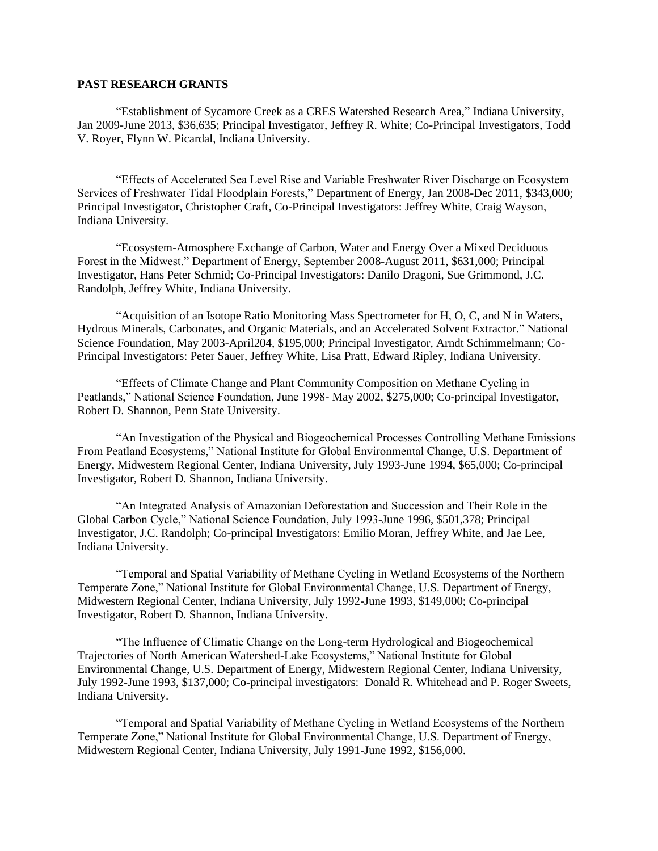#### **PAST RESEARCH GRANTS**

"Establishment of Sycamore Creek as a CRES Watershed Research Area," Indiana University, Jan 2009-June 2013, \$36,635; Principal Investigator, Jeffrey R. White; Co-Principal Investigators, Todd V. Royer, Flynn W. Picardal, Indiana University.

"Effects of Accelerated Sea Level Rise and Variable Freshwater River Discharge on Ecosystem Services of Freshwater Tidal Floodplain Forests," Department of Energy, Jan 2008-Dec 2011, \$343,000; Principal Investigator, Christopher Craft, Co-Principal Investigators: Jeffrey White, Craig Wayson, Indiana University.

"Ecosystem-Atmosphere Exchange of Carbon, Water and Energy Over a Mixed Deciduous Forest in the Midwest." Department of Energy, September 2008-August 2011, \$631,000; Principal Investigator, Hans Peter Schmid; Co-Principal Investigators: Danilo Dragoni, Sue Grimmond, J.C. Randolph, Jeffrey White, Indiana University.

"Acquisition of an Isotope Ratio Monitoring Mass Spectrometer for H, O, C, and N in Waters, Hydrous Minerals, Carbonates, and Organic Materials, and an Accelerated Solvent Extractor." National Science Foundation, May 2003-April204, \$195,000; Principal Investigator, Arndt Schimmelmann; Co-Principal Investigators: Peter Sauer, Jeffrey White, Lisa Pratt, Edward Ripley, Indiana University.

"Effects of Climate Change and Plant Community Composition on Methane Cycling in Peatlands," National Science Foundation, June 1998- May 2002, \$275,000; Co-principal Investigator, Robert D. Shannon, Penn State University.

"An Investigation of the Physical and Biogeochemical Processes Controlling Methane Emissions From Peatland Ecosystems," National Institute for Global Environmental Change, U.S. Department of Energy, Midwestern Regional Center, Indiana University, July 1993-June 1994, \$65,000; Co-principal Investigator, Robert D. Shannon, Indiana University.

"An Integrated Analysis of Amazonian Deforestation and Succession and Their Role in the Global Carbon Cycle," National Science Foundation, July 1993-June 1996, \$501,378; Principal Investigator, J.C. Randolph; Co-principal Investigators: Emilio Moran, Jeffrey White, and Jae Lee, Indiana University.

"Temporal and Spatial Variability of Methane Cycling in Wetland Ecosystems of the Northern Temperate Zone," National Institute for Global Environmental Change, U.S. Department of Energy, Midwestern Regional Center, Indiana University, July 1992-June 1993, \$149,000; Co-principal Investigator, Robert D. Shannon, Indiana University.

"The Influence of Climatic Change on the Long-term Hydrological and Biogeochemical Trajectories of North American Watershed-Lake Ecosystems," National Institute for Global Environmental Change, U.S. Department of Energy, Midwestern Regional Center, Indiana University, July 1992-June 1993, \$137,000; Co-principal investigators: Donald R. Whitehead and P. Roger Sweets, Indiana University.

"Temporal and Spatial Variability of Methane Cycling in Wetland Ecosystems of the Northern Temperate Zone," National Institute for Global Environmental Change, U.S. Department of Energy, Midwestern Regional Center, Indiana University, July 1991-June 1992, \$156,000.